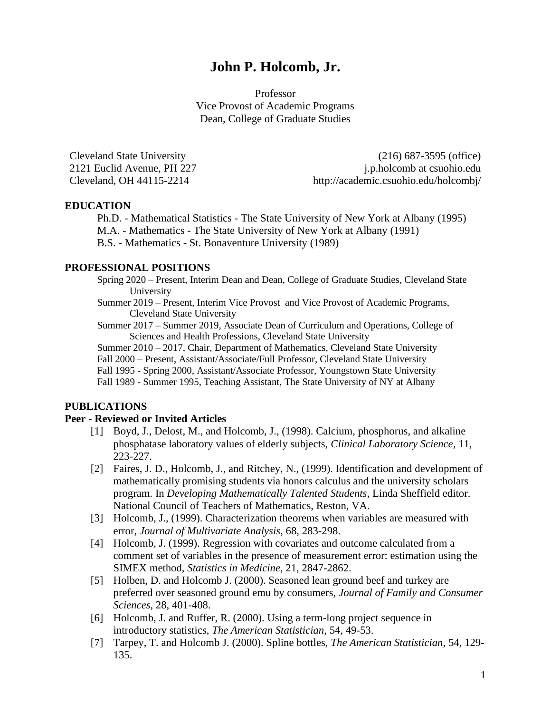# **John P. Holcomb, Jr.**

Professor Vice Provost of Academic Programs Dean, College of Graduate Studies

Cleveland State University (216) 687-3595 (office) 2121 Euclid Avenue, PH 227 j.p.holcomb at csuohio.edu Cleveland, OH 44115-2214 http://academic.csuohio.edu/holcombj/

# **EDUCATION**

Ph.D. - Mathematical Statistics - The State University of New York at Albany (1995) M.A. - Mathematics - The State University of New York at Albany (1991) B.S. - Mathematics - St. Bonaventure University (1989)

#### **PROFESSIONAL POSITIONS**

Spring 2020 – Present, Interim Dean and Dean, College of Graduate Studies, Cleveland State University

Summer 2019 – Present, Interim Vice Provost and Vice Provost of Academic Programs, Cleveland State University

Summer 2017 – Summer 2019, Associate Dean of Curriculum and Operations, College of Sciences and Health Professions, Cleveland State University

Summer 2010 – 2017, Chair, Department of Mathematics, Cleveland State University Fall 2000 – Present, Assistant/Associate/Full Professor, Cleveland State University Fall 1995 - Spring 2000, Assistant/Associate Professor, Youngstown State University

Fall 1989 - Summer 1995, Teaching Assistant, The State University of NY at Albany

# **PUBLICATIONS**

#### **Peer - Reviewed or Invited Articles**

- [1] Boyd, J., Delost, M., and Holcomb, J., (1998). Calcium, phosphorus, and alkaline phosphatase laboratory values of elderly subjects, *Clinical Laboratory Science*, 11, 223-227.
- [2] Faires, J. D., Holcomb, J., and Ritchey, N., (1999). Identification and development of mathematically promising students via honors calculus and the university scholars program. In *Developing Mathematically Talented Students*, Linda Sheffield editor. National Council of Teachers of Mathematics, Reston, VA.
- [3] Holcomb, J., (1999). Characterization theorems when variables are measured with error, *Journal of Multivariate Analysis*, 68, 283-298.
- [4] Holcomb, J. (1999). Regression with covariates and outcome calculated from a comment set of variables in the presence of measurement error: estimation using the SIMEX method, *Statistics in Medicine*, 21, 2847-2862.
- [5] Holben, D. and Holcomb J. (2000). Seasoned lean ground beef and turkey are preferred over seasoned ground emu by consumers, *Journal of Family and Consumer Sciences*, 28, 401-408.
- [6] Holcomb, J. and Ruffer, R. (2000). Using a term-long project sequence in introductory statistics, *The American Statistician*, 54, 49-53.
- [7] Tarpey, T. and Holcomb J. (2000). Spline bottles, *The American Statistician*, 54, 129- 135.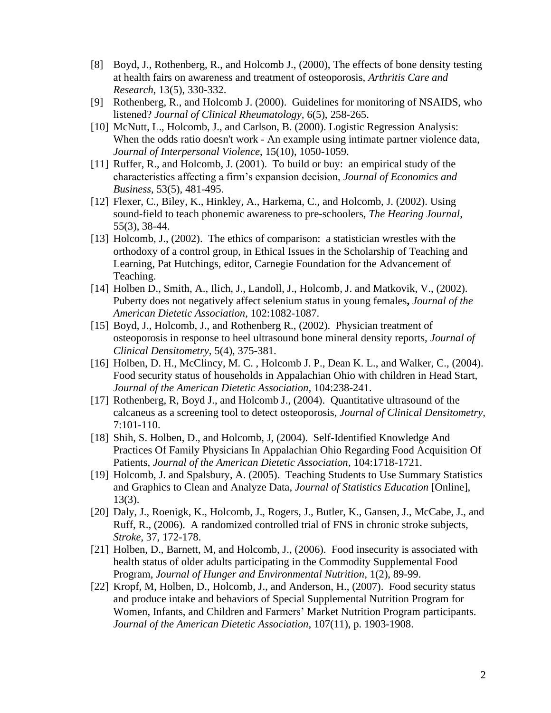- [8] Boyd, J., Rothenberg, R., and Holcomb J., (2000), The effects of bone density testing at health fairs on awareness and treatment of osteoporosis, *Arthritis Care and Research*, 13(5), 330-332.
- [9] Rothenberg, R., and Holcomb J. (2000). Guidelines for monitoring of NSAIDS, who listened? *Journal of Clinical Rheumatology,* 6(5), 258-265.
- [10] McNutt, L., Holcomb, J., and Carlson, B. (2000). Logistic Regression Analysis: When the odds ratio doesn't work - An example using intimate partner violence data, *Journal of Interpersonal Violence*, 15(10), 1050-1059.
- [11] Ruffer, R., and Holcomb, J. (2001). To build or buy: an empirical study of the characteristics affecting a firm's expansion decision, *Journal of Economics and Business*, 53(5), 481-495.
- [12] Flexer, C., Biley, K., Hinkley, A., Harkema, C., and Holcomb, J. (2002). Using sound-field to teach phonemic awareness to pre-schoolers, *The Hearing Journal*, 55(3), 38-44.
- [13] Holcomb, J., (2002). The ethics of comparison: a statistician wrestles with the orthodoxy of a control group, in Ethical Issues in the Scholarship of Teaching and Learning, Pat Hutchings, editor, Carnegie Foundation for the Advancement of Teaching.
- [14] Holben D., Smith, A., Ilich, J., Landoll, J., Holcomb, J. and Matkovik, V., (2002). Puberty does not negatively affect selenium status in young females**,** *Journal of the American Dietetic Association,* 102:1082-1087.
- [15] Boyd, J., Holcomb, J., and Rothenberg R., (2002). Physician treatment of osteoporosis in response to heel ultrasound bone mineral density reports, *Journal of Clinical Densitometry,* 5(4), 375-381.
- [16] Holben, D. H., McClincy, M. C., Holcomb J. P., Dean K. L., and Walker, C., (2004). Food security status of households in Appalachian Ohio with children in Head Start, *Journal of the American Dietetic Association,* 104:238-241.
- [17] Rothenberg, R, Boyd J., and Holcomb J., (2004). Quantitative ultrasound of the calcaneus as a screening tool to detect osteoporosis, *Journal of Clinical Densitometry,*  7:101-110.
- [18] Shih, S. Holben, D., and Holcomb, J. (2004). Self-Identified Knowledge And Practices Of Family Physicians In Appalachian Ohio Regarding Food Acquisition Of Patients, *Journal of the American Dietetic Association,* 104:1718-1721.
- [19] Holcomb, J. and Spalsbury, A. (2005). Teaching Students to Use Summary Statistics and Graphics to Clean and Analyze Data, *Journal of Statistics Education* [Online], 13(3).
- [20] Daly, J., Roenigk, K., Holcomb, J., Rogers, J., Butler, K., Gansen, J., McCabe, J., and Ruff, R., (2006). A randomized controlled trial of FNS in chronic stroke subjects, *Stroke*, 37, 172-178.
- [21] Holben, D., Barnett, M, and Holcomb, J., (2006). Food insecurity is associated with health status of older adults participating in the Commodity Supplemental Food Program, *Journal of Hunger and Environmental Nutrition*, 1(2), 89-99.
- [22] Kropf, M, Holben, D., Holcomb, J., and Anderson, H., (2007). Food security status and produce intake and behaviors of Special Supplemental Nutrition Program for Women, Infants, and Children and Farmers' Market Nutrition Program participants. *Journal of the American Dietetic Association,* 107(11), p. 1903-1908.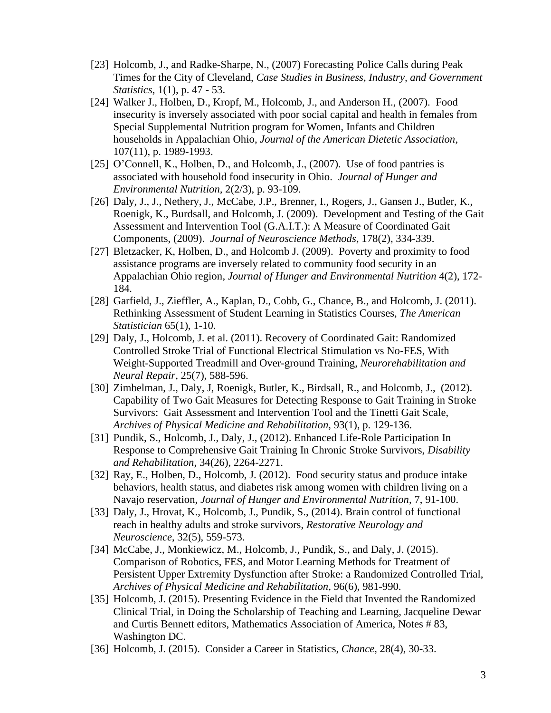- [23] Holcomb, J., and Radke-Sharpe, N., (2007) Forecasting Police Calls during Peak Times for the City of Cleveland, *Case Studies in Business, Industry, and Government Statistics*, 1(1), p. 47 - 53.
- [24] Walker J., Holben, D., Kropf, M., Holcomb, J., and Anderson H., (2007). Food insecurity is inversely associated with poor social capital and health in females from Special Supplemental Nutrition program for Women, Infants and Children households in Appalachian Ohio, *Journal of the American Dietetic Association,*  107(11), p. 1989-1993.
- [25] O'Connell, K., Holben, D., and Holcomb, J., (2007). Use of food pantries is associated with household food insecurity in Ohio. *Journal of Hunger and Environmental Nutrition,* 2(2/3), p. 93-109.
- [26] Daly, J., J., Nethery, J., McCabe, J.P., Brenner, I., Rogers, J., Gansen J., Butler, K., Roenigk, K., Burdsall, and Holcomb, J. (2009). Development and Testing of the Gait Assessment and Intervention Tool (G.A.I.T.): A Measure of Coordinated Gait Components, (2009). *Journal of Neuroscience Methods*, 178(2), 334-339.
- [27] Bletzacker, K, Holben, D., and Holcomb J. (2009). Poverty and proximity to food assistance programs are inversely related to community food security in an Appalachian Ohio region, *Journal of Hunger and Environmental Nutrition* 4(2), 172- 184*.*
- [28] Garfield, J., Zieffler, A., Kaplan, D., Cobb, G., Chance, B., and Holcomb, J. (2011). Rethinking Assessment of Student Learning in Statistics Courses, *The American Statistician* 65(1), 1-10.
- [29] Daly, J., Holcomb, J. et al. (2011). Recovery of Coordinated Gait: Randomized Controlled Stroke Trial of Functional Electrical Stimulation vs No-FES, With Weight-Supported Treadmill and Over-ground Training, *Neurorehabilitation and Neural Repair,* 25(7), 588-596.
- [30] Zimbelman, J., Daly, J, Roenigk, Butler, K., Birdsall, R., and Holcomb, J., (2012). Capability of Two Gait Measures for Detecting Response to Gait Training in Stroke Survivors: Gait Assessment and Intervention Tool and the Tinetti Gait Scale, *Archives of Physical Medicine and Rehabilitation*, 93(1), p. 129-136.
- [31] Pundik, S., Holcomb, J., Daly, J., (2012). Enhanced Life-Role Participation In Response to Comprehensive Gait Training In Chronic Stroke Survivors, *Disability and Rehabilitation*, 34(26), 2264-2271.
- [32] Ray, E., Holben, D., Holcomb, J. (2012). Food security status and produce intake behaviors, health status, and diabetes risk among women with children living on a Navajo reservation, *Journal of Hunger and Environmental Nutrition,* 7, 91-100.
- [33] Daly, J., Hrovat, K., Holcomb, J., Pundik, S., (2014). Brain control of functional reach in healthy adults and stroke survivors, *Restorative Neurology and Neuroscience*, 32(5), 559-573.
- [34] McCabe, J., Monkiewicz, M., Holcomb, J., Pundik, S., and Daly, J. (2015). Comparison of Robotics, FES, and Motor Learning Methods for Treatment of Persistent Upper Extremity Dysfunction after Stroke: a Randomized Controlled Trial, *Archives of Physical Medicine and Rehabilitation,* 96(6), 981-990.
- [35] Holcomb, J. (2015). Presenting Evidence in the Field that Invented the Randomized Clinical Trial, in Doing the Scholarship of Teaching and Learning, Jacqueline Dewar and Curtis Bennett editors, Mathematics Association of America, Notes # 83, Washington DC.
- [36] Holcomb, J. (2015). Consider a Career in Statistics, *Chance,* 28(4), 30-33.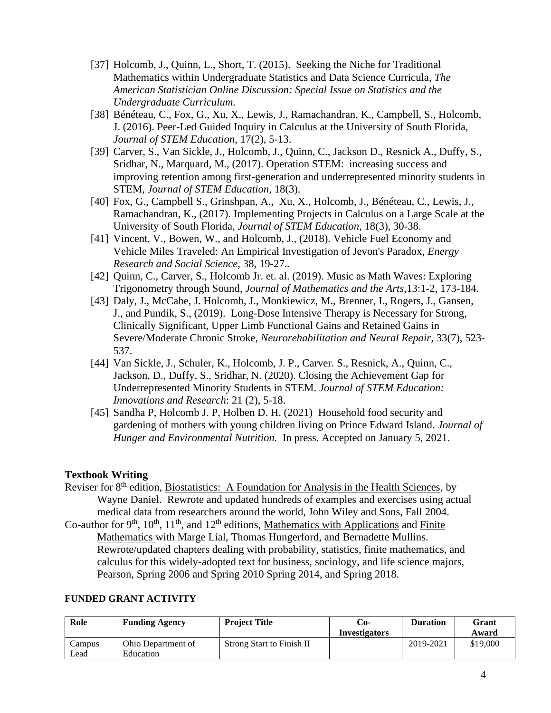- [37] Holcomb, J., Quinn, L., Short, T. (2015). Seeking the Niche for Traditional Mathematics within Undergraduate Statistics and Data Science Curricula, *The American Statistician Online Discussion: Special Issue on Statistics and the Undergraduate Curriculum.*
- [38] Bénéteau, C., Fox, G., Xu, X., Lewis, J., Ramachandran, K., Campbell, S., Holcomb, J. (2016). Peer-Led Guided Inquiry in Calculus at the University of South Florida, *Journal of STEM Education*, 17(2), 5-13.
- [39] Carver, S., Van Sickle, J., Holcomb, J., Quinn, C., Jackson D., Resnick A., Duffy, S., Sridhar, N., Marquard, M., (2017). Operation STEM: increasing success and improving retention among first-generation and underrepresented minority students in STEM, *Journal of STEM Education,* 18(3).
- [40] Fox, G., Campbell S., Grinshpan, A., Xu, X., Holcomb, J., Bénéteau, C., Lewis, J., Ramachandran, K., (2017). Implementing Projects in Calculus on a Large Scale at the University of South Florida, *Journal of STEM Education*, 18(3), 30-38.
- [41] Vincent, V., Bowen, W., and Holcomb, J., (2018). Vehicle Fuel Economy and Vehicle Miles Traveled: An Empirical Investigation of Jevon's Paradox, *Energy Research and Social Science,* 38, 19-27.*.*
- [42] Quinn, C., Carver, S., Holcomb Jr. et. al. (2019). Music as Math Waves: Exploring Trigonometry through Sound, *Journal of Mathematics and the Arts,*13:1-2, 173-184*.*
- [43] Daly, J., McCabe, J. Holcomb, J., Monkiewicz, M., Brenner, I., Rogers, J., Gansen, J., and Pundik, S., (2019). Long-Dose Intensive Therapy is Necessary for Strong, Clinically Significant, Upper Limb Functional Gains and Retained Gains in Severe/Moderate Chronic Stroke, *Neurorehabilitation and Neural Repair,* 33(7), 523- 537.
- [44] Van Sickle, J., Schuler, K., Holcomb, J. P., Carver. S., Resnick, A., Quinn, C., Jackson, D., Duffy, S., Sridhar, N. (2020). Closing the Achievement Gap for Underrepresented Minority Students in STEM. *Journal of STEM Education: Innovations and Research*: 21 (2), 5-18.
- [45] Sandha P, Holcomb J. P, Holben D. H. (2021) Household food security and gardening of mothers with young children living on Prince Edward Island. *Journal of Hunger and Environmental Nutrition.* In press. Accepted on January 5, 2021.

# **Textbook Writing**

- Reviser for 8<sup>th</sup> edition, Biostatistics: A Foundation for Analysis in the Health Sciences, by Wayne Daniel. Rewrote and updated hundreds of examples and exercises using actual medical data from researchers around the world, John Wiley and Sons, Fall 2004.
- Co-author for  $9<sup>th</sup>$ ,  $10<sup>th</sup>$ ,  $11<sup>th</sup>$ , and  $12<sup>th</sup>$  editions, Mathematics with Applications and Finite Mathematics with Marge Lial, Thomas Hungerford, and Bernadette Mullins. Rewrote/updated chapters dealing with probability, statistics, finite mathematics, and calculus for this widely-adopted text for business, sociology, and life science majors, Pearson, Spring 2006 and Spring 2010 Spring 2014, and Spring 2018.

#### **FUNDED GRANT ACTIVITY**

| Role   | <b>Funding Agency</b> | <b>Project Title</b>      | -0∴                  | <b>Duration</b> | Grant    |
|--------|-----------------------|---------------------------|----------------------|-----------------|----------|
|        |                       |                           | <b>Investigators</b> |                 | Award    |
| Campus | Ohio Department of    | Strong Start to Finish II |                      | 2019-2021       | \$19,000 |
| ∟ead   | Education             |                           |                      |                 |          |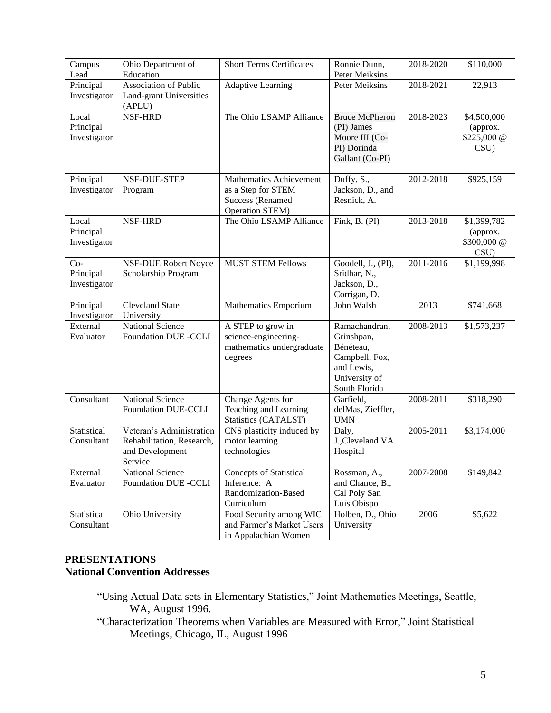| Campus                    | Ohio Department of          | <b>Short Terms Certificates</b>                   | Ronnie Dunn,          | 2018-2020 | \$110,000               |
|---------------------------|-----------------------------|---------------------------------------------------|-----------------------|-----------|-------------------------|
| Lead                      | Education                   |                                                   | Peter Meiksins        |           |                         |
| Principal                 | Association of Public       | <b>Adaptive Learning</b>                          | Peter Meiksins        | 2018-2021 | 22,913                  |
| Investigator              | Land-grant Universities     |                                                   |                       |           |                         |
|                           | (APLU)                      |                                                   |                       |           |                         |
| Local                     | NSF-HRD                     | The Ohio LSAMP Alliance                           | <b>Bruce McPheron</b> | 2018-2023 | \$4,500,000             |
| Principal                 |                             |                                                   | (PI) James            |           | (approx.                |
| Investigator              |                             |                                                   | Moore III (Co-        |           | \$225,000 @             |
|                           |                             |                                                   | PI) Dorinda           |           | CSU)                    |
|                           |                             |                                                   | Gallant (Co-PI)       |           |                         |
|                           |                             |                                                   |                       |           |                         |
| Principal                 | NSF-DUE-STEP                | Mathematics Achievement                           | Duffy, S.,            | 2012-2018 | \$925,159               |
| Investigator              | Program                     | as a Step for STEM                                | Jackson, D., and      |           |                         |
|                           |                             | <b>Success (Renamed</b>                           | Resnick, A.           |           |                         |
|                           |                             | Operation STEM)                                   |                       |           |                         |
| Local                     | NSF-HRD                     | The Ohio LSAMP Alliance                           | Fink, B. (PI)         | 2013-2018 | \$1,399,782             |
| Principal<br>Investigator |                             |                                                   |                       |           | (approx.<br>\$300,000 @ |
|                           |                             |                                                   |                       |           | CSU)                    |
| $Co-$                     | NSF-DUE Robert Noyce        | <b>MUST STEM Fellows</b>                          | Goodell, J., (PI),    | 2011-2016 | \$1,199,998             |
| Principal                 | Scholarship Program         |                                                   | Sridhar, N.,          |           |                         |
| Investigator              |                             |                                                   | Jackson, D.,          |           |                         |
|                           |                             |                                                   | Corrigan, D.          |           |                         |
| Principal                 | Cleveland State             | Mathematics Emporium                              | John Walsh            | 2013      | \$741,668               |
| Investigator              | University                  |                                                   |                       |           |                         |
| External                  | <b>National Science</b>     | A STEP to grow in                                 | Ramachandran,         | 2008-2013 | \$1,573,237             |
| Evaluator                 | <b>Foundation DUE -CCLI</b> | science-engineering-                              | Grinshpan,            |           |                         |
|                           |                             | mathematics undergraduate                         | Bénéteau,             |           |                         |
|                           |                             |                                                   |                       |           |                         |
|                           |                             | degrees                                           | Campbell, Fox,        |           |                         |
|                           |                             |                                                   | and Lewis,            |           |                         |
|                           |                             |                                                   | University of         |           |                         |
|                           |                             |                                                   | South Florida         |           |                         |
| Consultant                | <b>National Science</b>     | Change Agents for                                 | Garfield,             | 2008-2011 | \$318,290               |
|                           | <b>Foundation DUE-CCLI</b>  | Teaching and Learning                             | delMas, Zieffler,     |           |                         |
| Statistical               | Veteran's Administration    | Statistics (CATALST)                              | <b>UMN</b><br>Daly,   | 2005-2011 |                         |
| Consultant                | Rehabilitation, Research,   | CNS plasticity induced by<br>motor learning       | J., Cleveland VA      |           | \$3,174,000             |
|                           | and Development             | technologies                                      | Hospital              |           |                         |
|                           | Service                     |                                                   |                       |           |                         |
| External                  | National Science            | <b>Concepts of Statistical</b>                    | Rossman, A.,          | 2007-2008 | \$149,842               |
| Evaluator                 | <b>Foundation DUE -CCLI</b> | Inference: A                                      | and Chance, B.,       |           |                         |
|                           |                             | Randomization-Based                               | Cal Poly San          |           |                         |
|                           |                             | Curriculum                                        | Luis Obispo           |           |                         |
| Statistical               | Ohio University             | Food Security among WIC                           | Holben, D., Ohio      | 2006      | \$5,622                 |
| Consultant                |                             | and Farmer's Market Users<br>in Appalachian Women | University            |           |                         |

# **PRESENTATIONS National Convention Addresses**

- "Using Actual Data sets in Elementary Statistics," Joint Mathematics Meetings, Seattle, WA, August 1996.
- "Characterization Theorems when Variables are Measured with Error," Joint Statistical Meetings, Chicago, IL, August 1996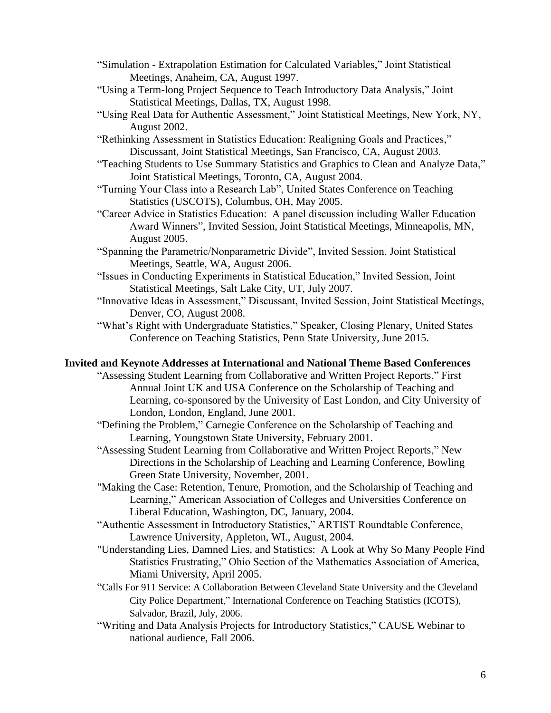- "Simulation Extrapolation Estimation for Calculated Variables," Joint Statistical Meetings, Anaheim, CA, August 1997.
- "Using a Term-long Project Sequence to Teach Introductory Data Analysis," Joint Statistical Meetings, Dallas, TX, August 1998.
- "Using Real Data for Authentic Assessment," Joint Statistical Meetings, New York, NY, August 2002.
- "Rethinking Assessment in Statistics Education: Realigning Goals and Practices," Discussant, Joint Statistical Meetings, San Francisco, CA, August 2003.
- "Teaching Students to Use Summary Statistics and Graphics to Clean and Analyze Data," Joint Statistical Meetings, Toronto, CA, August 2004.
- "Turning Your Class into a Research Lab", United States Conference on Teaching Statistics (USCOTS), Columbus, OH, May 2005.
- "Career Advice in Statistics Education: A panel discussion including Waller Education Award Winners", Invited Session, Joint Statistical Meetings, Minneapolis, MN, August 2005.
- "Spanning the Parametric/Nonparametric Divide", Invited Session, Joint Statistical Meetings, Seattle, WA, August 2006.
- "Issues in Conducting Experiments in Statistical Education," Invited Session, Joint Statistical Meetings, Salt Lake City, UT, July 2007.
- "Innovative Ideas in Assessment," Discussant, Invited Session, Joint Statistical Meetings, Denver, CO, August 2008.
- "What's Right with Undergraduate Statistics," Speaker, Closing Plenary, United States Conference on Teaching Statistics, Penn State University, June 2015.

# **Invited and Keynote Addresses at International and National Theme Based Conferences**

- "Assessing Student Learning from Collaborative and Written Project Reports," First Annual Joint UK and USA Conference on the Scholarship of Teaching and Learning, co-sponsored by the University of East London, and City University of London, London, England, June 2001.
- "Defining the Problem," Carnegie Conference on the Scholarship of Teaching and Learning, Youngstown State University, February 2001.
- "Assessing Student Learning from Collaborative and Written Project Reports," New Directions in the Scholarship of Leaching and Learning Conference, Bowling Green State University, November, 2001.
- "Making the Case: Retention, Tenure, Promotion, and the Scholarship of Teaching and Learning," American Association of Colleges and Universities Conference on Liberal Education, Washington, DC, January, 2004.
- "Authentic Assessment in Introductory Statistics," ARTIST Roundtable Conference, Lawrence University, Appleton, WI., August, 2004.
- "Understanding Lies, Damned Lies, and Statistics: A Look at Why So Many People Find Statistics Frustrating," Ohio Section of the Mathematics Association of America, Miami University, April 2005.
- "Calls For 911 Service: A Collaboration Between Cleveland State University and the Cleveland City Police Department," International Conference on Teaching Statistics (ICOTS), Salvador, Brazil, July, 2006.
- "Writing and Data Analysis Projects for Introductory Statistics," CAUSE Webinar to national audience, Fall 2006.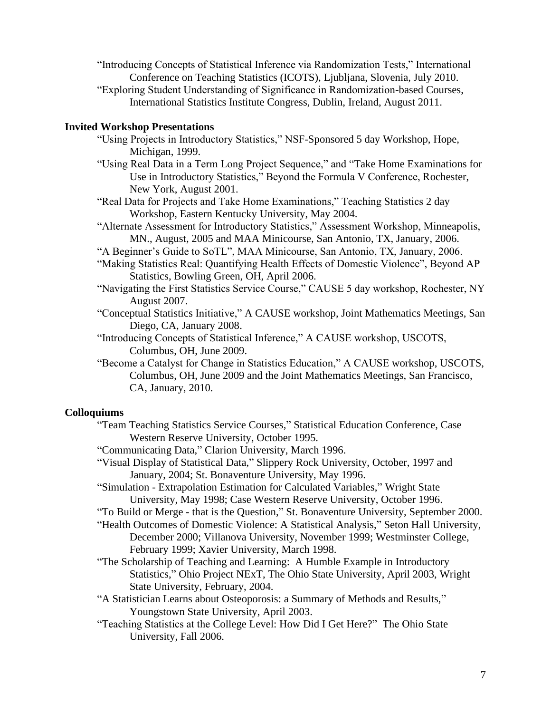- "Introducing Concepts of Statistical Inference via Randomization Tests," International Conference on Teaching Statistics (ICOTS), Ljubljana, Slovenia, July 2010.
- "Exploring Student Understanding of Significance in Randomization-based Courses, International Statistics Institute Congress, Dublin, Ireland, August 2011.

#### **Invited Workshop Presentations**

- "Using Projects in Introductory Statistics," NSF-Sponsored 5 day Workshop, Hope, Michigan, 1999.
- "Using Real Data in a Term Long Project Sequence," and "Take Home Examinations for Use in Introductory Statistics," Beyond the Formula V Conference, Rochester, New York, August 2001.
- "Real Data for Projects and Take Home Examinations," Teaching Statistics 2 day Workshop, Eastern Kentucky University, May 2004.
- "Alternate Assessment for Introductory Statistics," Assessment Workshop, Minneapolis, MN., August, 2005 and MAA Minicourse, San Antonio, TX, January, 2006.
- "A Beginner's Guide to SoTL", MAA Minicourse, San Antonio, TX, January, 2006.
- "Making Statistics Real: Quantifying Health Effects of Domestic Violence", Beyond AP Statistics, Bowling Green, OH, April 2006.
- "Navigating the First Statistics Service Course," CAUSE 5 day workshop, Rochester, NY August 2007.
- "Conceptual Statistics Initiative," A CAUSE workshop, Joint Mathematics Meetings, San Diego, CA, January 2008.
- "Introducing Concepts of Statistical Inference," A CAUSE workshop, USCOTS, Columbus, OH, June 2009.
- "Become a Catalyst for Change in Statistics Education," A CAUSE workshop, USCOTS, Columbus, OH, June 2009 and the Joint Mathematics Meetings, San Francisco, CA, January, 2010.

#### **Colloquiums**

- "Team Teaching Statistics Service Courses," Statistical Education Conference, Case Western Reserve University, October 1995.
- "Communicating Data," Clarion University, March 1996.
- "Visual Display of Statistical Data," Slippery Rock University, October, 1997 and January, 2004; St. Bonaventure University, May 1996.
- "Simulation Extrapolation Estimation for Calculated Variables," Wright State University, May 1998; Case Western Reserve University, October 1996.
- "To Build or Merge that is the Question," St. Bonaventure University, September 2000.
- "Health Outcomes of Domestic Violence: A Statistical Analysis," Seton Hall University, December 2000; Villanova University, November 1999; Westminster College, February 1999; Xavier University, March 1998.
- "The Scholarship of Teaching and Learning: A Humble Example in Introductory Statistics," Ohio Project NExT, The Ohio State University, April 2003, Wright State University, February, 2004.
- "A Statistician Learns about Osteoporosis: a Summary of Methods and Results," Youngstown State University, April 2003.
- "Teaching Statistics at the College Level: How Did I Get Here?" The Ohio State University, Fall 2006.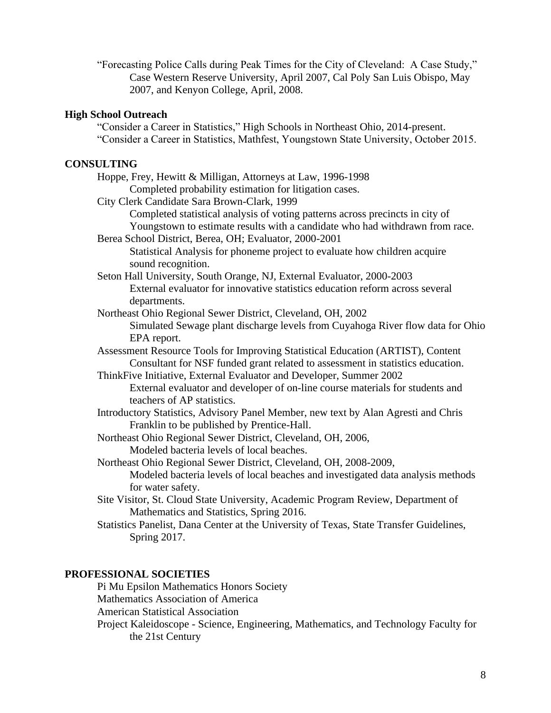"Forecasting Police Calls during Peak Times for the City of Cleveland: A Case Study," Case Western Reserve University, April 2007, Cal Poly San Luis Obispo, May 2007, and Kenyon College, April, 2008.

# **High School Outreach**

"Consider a Career in Statistics," High Schools in Northeast Ohio, 2014-present. "Consider a Career in Statistics, Mathfest, Youngstown State University, October 2015.

# **CONSULTING**

| CONSULTIMA                                                                              |
|-----------------------------------------------------------------------------------------|
| Hoppe, Frey, Hewitt & Milligan, Attorneys at Law, 1996-1998                             |
| Completed probability estimation for litigation cases.                                  |
| City Clerk Candidate Sara Brown-Clark, 1999                                             |
| Completed statistical analysis of voting patterns across precincts in city of           |
| Youngstown to estimate results with a candidate who had withdrawn from race.            |
| Berea School District, Berea, OH; Evaluator, 2000-2001                                  |
| Statistical Analysis for phoneme project to evaluate how children acquire               |
| sound recognition.                                                                      |
| Seton Hall University, South Orange, NJ, External Evaluator, 2000-2003                  |
| External evaluator for innovative statistics education reform across several            |
| departments.                                                                            |
| Northeast Ohio Regional Sewer District, Cleveland, OH, 2002                             |
| Simulated Sewage plant discharge levels from Cuyahoga River flow data for Ohio          |
| EPA report.                                                                             |
| Assessment Resource Tools for Improving Statistical Education (ARTIST), Content         |
| Consultant for NSF funded grant related to assessment in statistics education.          |
| ThinkFive Initiative, External Evaluator and Developer, Summer 2002                     |
| External evaluator and developer of on-line course materials for students and           |
| teachers of AP statistics.                                                              |
| Introductory Statistics, Advisory Panel Member, new text by Alan Agresti and Chris      |
| Franklin to be published by Prentice-Hall.                                              |
| Northeast Ohio Regional Sewer District, Cleveland, OH, 2006,                            |
| Modeled bacteria levels of local beaches.                                               |
| Northeast Ohio Regional Sewer District, Cleveland, OH, 2008-2009,                       |
| Modeled bacteria levels of local beaches and investigated data analysis methods         |
| for water safety.                                                                       |
| Site Visitor, St. Cloud State University, Academic Program Review, Department of        |
| Mathematics and Statistics, Spring 2016.                                                |
| Statistics Panelist, Dana Center at the University of Texas, State Transfer Guidelines, |
| Spring 2017.                                                                            |
|                                                                                         |
|                                                                                         |
| PROFESSIONAL SOCIETIES<br>D. M., Englan Mathematica Homona Coolativ                     |
|                                                                                         |

Pi Mu Epsilon Mathematics Honors Society Mathematics Association of America American Statistical Association Project Kaleidoscope - Science, Engineering, Mathematics, and Technology Faculty for the 21st Century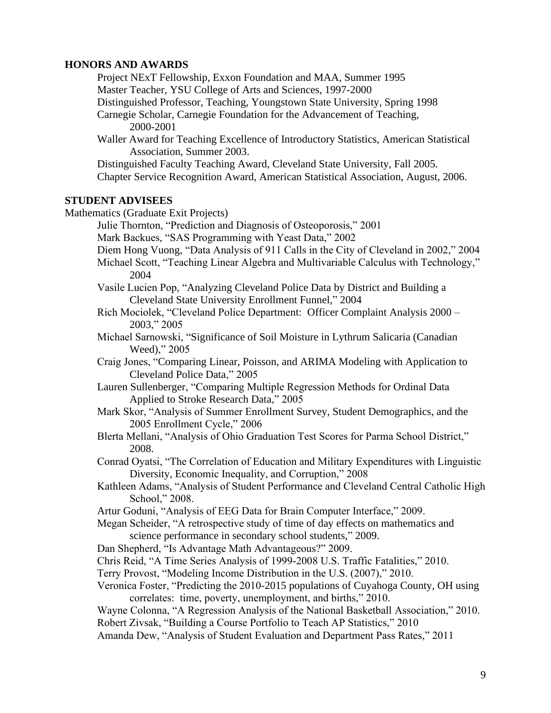### **HONORS AND AWARDS**

Project NExT Fellowship, Exxon Foundation and MAA, Summer 1995 Master Teacher, YSU College of Arts and Sciences, 1997-2000

Distinguished Professor, Teaching, Youngstown State University, Spring 1998

Carnegie Scholar, Carnegie Foundation for the Advancement of Teaching, 2000-2001

Waller Award for Teaching Excellence of Introductory Statistics, American Statistical Association, Summer 2003.

Distinguished Faculty Teaching Award, Cleveland State University, Fall 2005. Chapter Service Recognition Award, American Statistical Association, August, 2006.

#### **STUDENT ADVISEES**

Mathematics (Graduate Exit Projects)

Julie Thornton, "Prediction and Diagnosis of Osteoporosis," 2001 Mark Backues, "SAS Programming with Yeast Data," 2002 Diem Hong Vuong, "Data Analysis of 911 Calls in the City of Cleveland in 2002," 2004 Michael Scott, "Teaching Linear Algebra and Multivariable Calculus with Technology," 2004 Vasile Lucien Pop, "Analyzing Cleveland Police Data by District and Building a Cleveland State University Enrollment Funnel," 2004 Rich Mociolek, "Cleveland Police Department: Officer Complaint Analysis 2000 – 2003," 2005 Michael Sarnowski, "Significance of Soil Moisture in Lythrum Salicaria (Canadian Weed)," 2005 Craig Jones, "Comparing Linear, Poisson, and ARIMA Modeling with Application to Cleveland Police Data," 2005

Lauren Sullenberger, "Comparing Multiple Regression Methods for Ordinal Data Applied to Stroke Research Data," 2005

Mark Skor, "Analysis of Summer Enrollment Survey, Student Demographics, and the 2005 Enrollment Cycle," 2006

Blerta Mellani, "Analysis of Ohio Graduation Test Scores for Parma School District," 2008.

Conrad Oyatsi, "The Correlation of Education and Military Expenditures with Linguistic Diversity, Economic Inequality, and Corruption," 2008

Kathleen Adams, "Analysis of Student Performance and Cleveland Central Catholic High School," 2008.

Artur Goduni, "Analysis of EEG Data for Brain Computer Interface," 2009.

Megan Scheider, "A retrospective study of time of day effects on mathematics and science performance in secondary school students," 2009.

Dan Shepherd, "Is Advantage Math Advantageous?" 2009.

Chris Reid, "A Time Series Analysis of 1999-2008 U.S. Traffic Fatalities," 2010.

Terry Provost, "Modeling Income Distribution in the U.S. (2007)," 2010.

Veronica Foster, "Predicting the 2010-2015 populations of Cuyahoga County, OH using correlates: time, poverty, unemployment, and births," 2010.

Wayne Colonna, "A Regression Analysis of the National Basketball Association," 2010. Robert Zivsak, "Building a Course Portfolio to Teach AP Statistics," 2010

Amanda Dew, "Analysis of Student Evaluation and Department Pass Rates," 2011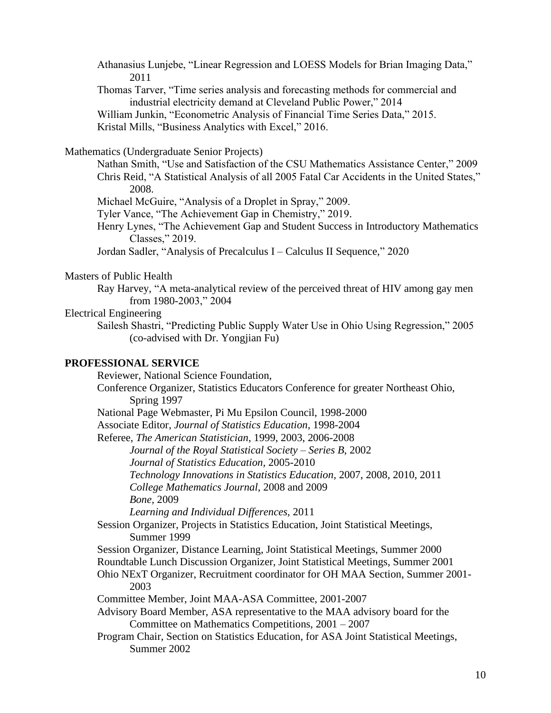Athanasius Lunjebe, "Linear Regression and LOESS Models for Brian Imaging Data," 2011

Thomas Tarver, "Time series analysis and forecasting methods for commercial and industrial electricity demand at Cleveland Public Power," 2014

William Junkin, "Econometric Analysis of Financial Time Series Data," 2015. Kristal Mills, "Business Analytics with Excel," 2016.

Mathematics (Undergraduate Senior Projects)

Nathan Smith, "Use and Satisfaction of the CSU Mathematics Assistance Center," 2009 Chris Reid, "A Statistical Analysis of all 2005 Fatal Car Accidents in the United States," 2008.

Michael McGuire, "Analysis of a Droplet in Spray," 2009.

Tyler Vance, "The Achievement Gap in Chemistry," 2019.

Henry Lynes, "The Achievement Gap and Student Success in Introductory Mathematics Classes," 2019.

Jordan Sadler, "Analysis of Precalculus I – Calculus II Sequence," 2020

#### Masters of Public Health

Ray Harvey, "A meta-analytical review of the perceived threat of HIV among gay men from 1980-2003," 2004

### Electrical Engineering

Sailesh Shastri, "Predicting Public Supply Water Use in Ohio Using Regression," 2005 (co-advised with Dr. Yongjian Fu)

# **PROFESSIONAL SERVICE**

Reviewer, National Science Foundation,

Conference Organizer, Statistics Educators Conference for greater Northeast Ohio, Spring 1997

National Page Webmaster, Pi Mu Epsilon Council, 1998-2000

Associate Editor, *Journal of Statistics Education*, 1998-2004

Referee, *The American Statistician*, 1999, 2003, 2006-2008

*Journal of the Royal Statistical Society – Series B*, 2002

*Journal of Statistics Education,* 2005-2010

*Technology Innovations in Statistics Education,* 2007, 2008, 2010, 2011

*College Mathematics Journal,* 2008 and 2009

*Bone,* 2009

*Learning and Individual Differences,* 2011

Session Organizer, Projects in Statistics Education, Joint Statistical Meetings, Summer 1999

- Session Organizer, Distance Learning, Joint Statistical Meetings, Summer 2000
- Roundtable Lunch Discussion Organizer, Joint Statistical Meetings, Summer 2001
- Ohio NExT Organizer, Recruitment coordinator for OH MAA Section, Summer 2001- 2003

Committee Member, Joint MAA-ASA Committee, 2001-2007

Advisory Board Member, ASA representative to the MAA advisory board for the Committee on Mathematics Competitions, 2001 – 2007

Program Chair, Section on Statistics Education, for ASA Joint Statistical Meetings, Summer 2002